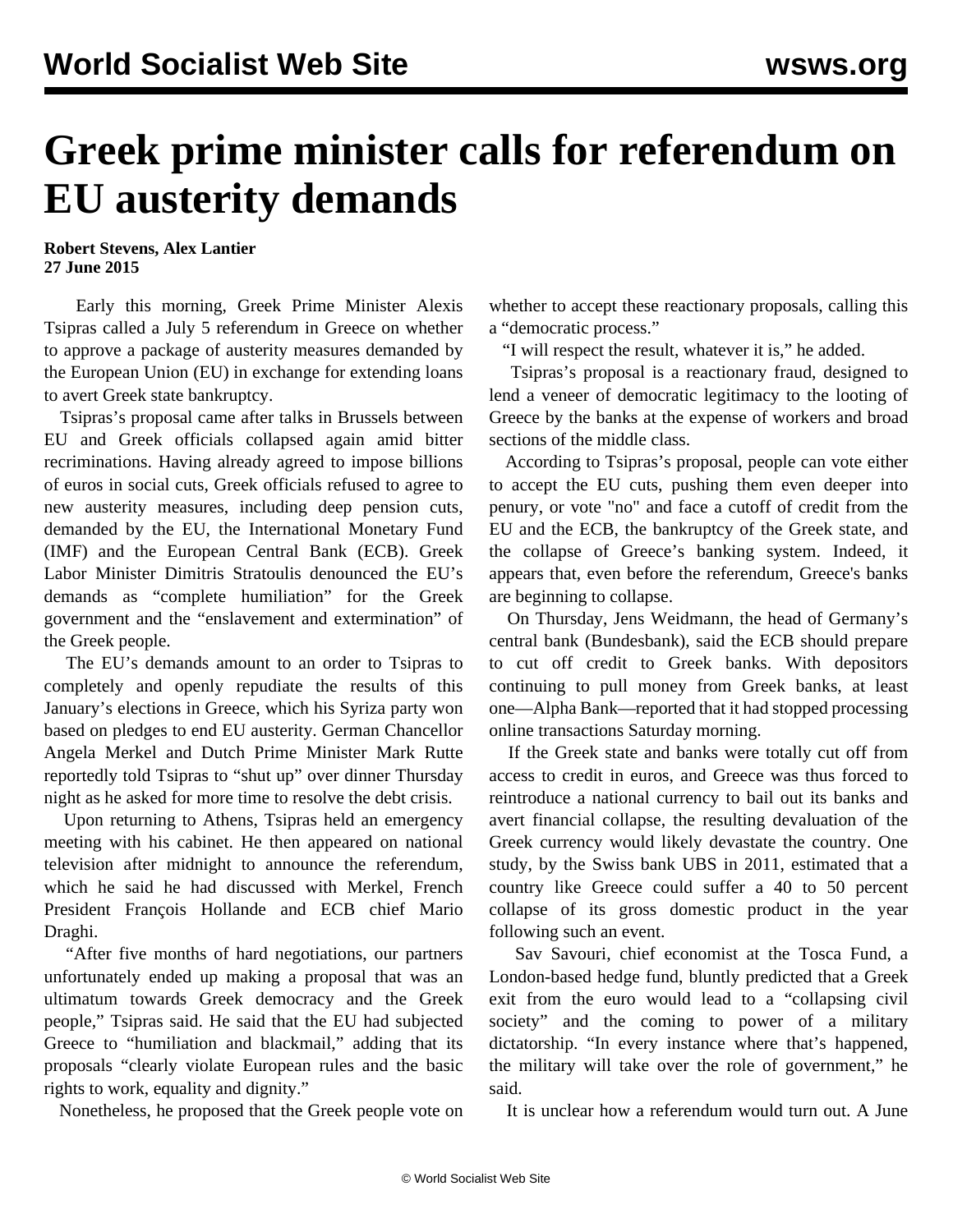## **Greek prime minister calls for referendum on EU austerity demands**

**Robert Stevens, Alex Lantier 27 June 2015**

 Early this morning, Greek Prime Minister Alexis Tsipras called a July 5 referendum in Greece on whether to approve a package of austerity measures demanded by the European Union (EU) in exchange for extending loans to avert Greek state bankruptcy.

 Tsipras's proposal came after talks in Brussels between EU and Greek officials collapsed again amid bitter recriminations. Having already agreed to impose billions of euros in social cuts, Greek officials refused to agree to new austerity measures, including deep pension cuts, demanded by the EU, the International Monetary Fund (IMF) and the European Central Bank (ECB). Greek Labor Minister Dimitris Stratoulis denounced the EU's demands as "complete humiliation" for the Greek government and the "enslavement and extermination" of the Greek people.

 The EU's demands amount to an order to Tsipras to completely and openly repudiate the results of this January's elections in Greece, which his Syriza party won based on pledges to end EU austerity. German Chancellor Angela Merkel and Dutch Prime Minister Mark Rutte reportedly told Tsipras to "shut up" over dinner Thursday night as he asked for more time to resolve the debt crisis.

 Upon returning to Athens, Tsipras held an emergency meeting with his cabinet. He then appeared on national television after midnight to announce the referendum, which he said he had discussed with Merkel, French President François Hollande and ECB chief Mario Draghi.

 "After five months of hard negotiations, our partners unfortunately ended up making a proposal that was an ultimatum towards Greek democracy and the Greek people," Tsipras said. He said that the EU had subjected Greece to "humiliation and blackmail," adding that its proposals "clearly violate European rules and the basic rights to work, equality and dignity."

Nonetheless, he proposed that the Greek people vote on

whether to accept these reactionary proposals, calling this a "democratic process."

"I will respect the result, whatever it is," he added.

 Tsipras's proposal is a reactionary fraud, designed to lend a veneer of democratic legitimacy to the looting of Greece by the banks at the expense of workers and broad sections of the middle class.

 According to Tsipras's proposal, people can vote either to accept the EU cuts, pushing them even deeper into penury, or vote "no" and face a cutoff of credit from the EU and the ECB, the bankruptcy of the Greek state, and the collapse of Greece's banking system. Indeed, it appears that, even before the referendum, Greece's banks are beginning to collapse.

 On Thursday, Jens Weidmann, the head of Germany's central bank (Bundesbank), said the ECB should prepare to cut off credit to Greek banks. With depositors continuing to pull money from Greek banks, at least one—Alpha Bank—reported that it had stopped processing online transactions Saturday morning.

 If the Greek state and banks were totally cut off from access to credit in euros, and Greece was thus forced to reintroduce a national currency to bail out its banks and avert financial collapse, the resulting devaluation of the Greek currency would likely devastate the country. One study, by the Swiss bank UBS in 2011, estimated that a country like Greece could suffer a 40 to 50 percent collapse of its gross domestic product in the year following such an event.

 Sav Savouri, chief economist at the Tosca Fund, a London-based hedge fund, bluntly predicted that a Greek exit from the euro would lead to a "collapsing civil society" and the coming to power of a military dictatorship. "In every instance where that's happened, the military will take over the role of government," he said.

It is unclear how a referendum would turn out. A June